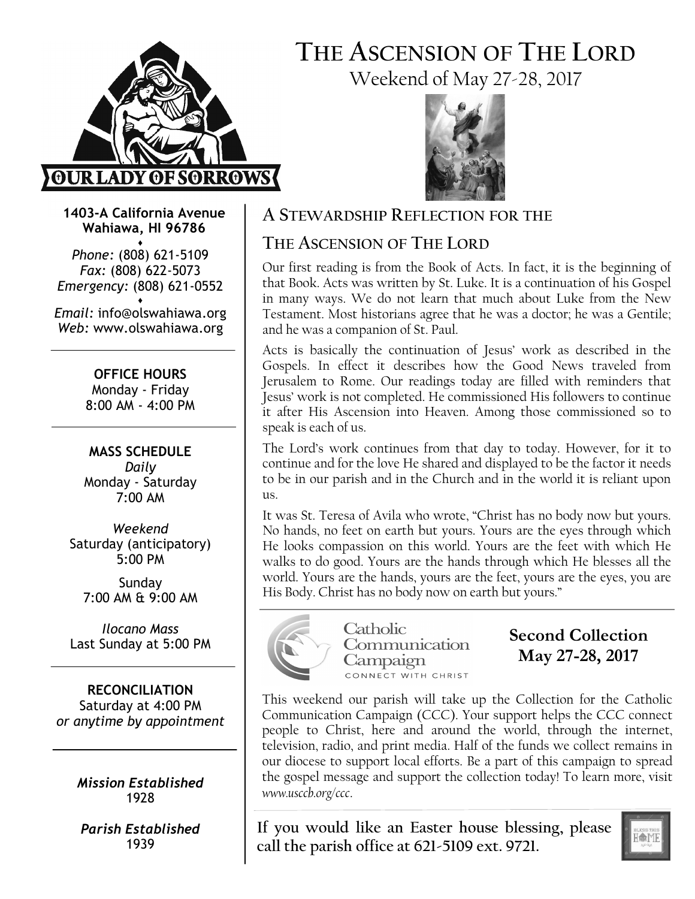

# THE ASCENSION OF THE LORD Weekend of May 27-28, 2017



1403-A California Avenue Wahiawa, HI 96786

♦ Phone: (808) 621-5109 Fax: (808) 622-5073 Emergency: (808) 621-0552 ♦

Email: info@olswahiawa.org Web: www.olswahiawa.org

> OFFICE HOURS Monday - Friday 8:00 AM - 4:00 PM

MASS SCHEDULE Daily Monday - Saturday 7:00 AM

Weekend Saturday (anticipatory) 5:00 PM

Sunday 7:00 AM & 9:00 AM

Ilocano Mass Last Sunday at 5:00 PM

RECONCILIATION Saturday at 4:00 PM or anytime by appointment

> Mission Established 1928

Parish Established 1939

### A STEWARDSHIP REFLECTION FOR THE

## THE ASCENSION OF THE LORD

Our first reading is from the Book of Acts. In fact, it is the beginning of that Book. Acts was written by St. Luke. It is a continuation of his Gospel in many ways. We do not learn that much about Luke from the New Testament. Most historians agree that he was a doctor; he was a Gentile; and he was a companion of St. Paul.

Acts is basically the continuation of Jesus' work as described in the Gospels. In effect it describes how the Good News traveled from Jerusalem to Rome. Our readings today are filled with reminders that Jesus' work is not completed. He commissioned His followers to continue it after His Ascension into Heaven. Among those commissioned so to speak is each of us.

The Lord's work continues from that day to today. However, for it to continue and for the love He shared and displayed to be the factor it needs to be in our parish and in the Church and in the world it is reliant upon us.

It was St. Teresa of Avila who wrote, "Christ has no body now but yours. No hands, no feet on earth but yours. Yours are the eyes through which He looks compassion on this world. Yours are the feet with which He walks to do good. Yours are the hands through which He blesses all the world. Yours are the hands, yours are the feet, yours are the eyes, you are His Body. Christ has no body now on earth but yours."



**Catholic** Communication Campaign CONNECT WITH CHRIST

Second Collection May 27-28, 2017

This weekend our parish will take up the Collection for the Catholic Communication Campaign (CCC). Your support helps the CCC connect people to Christ, here and around the world, through the internet, television, radio, and print media. Half of the funds we collect remains in our diocese to support local efforts. Be a part of this campaign to spread the gospel message and support the collection today! To learn more, visit www.usccb.org/ccc.

If you would like an Easter house blessing, please call the parish office at 621-5109 ext. 9721.

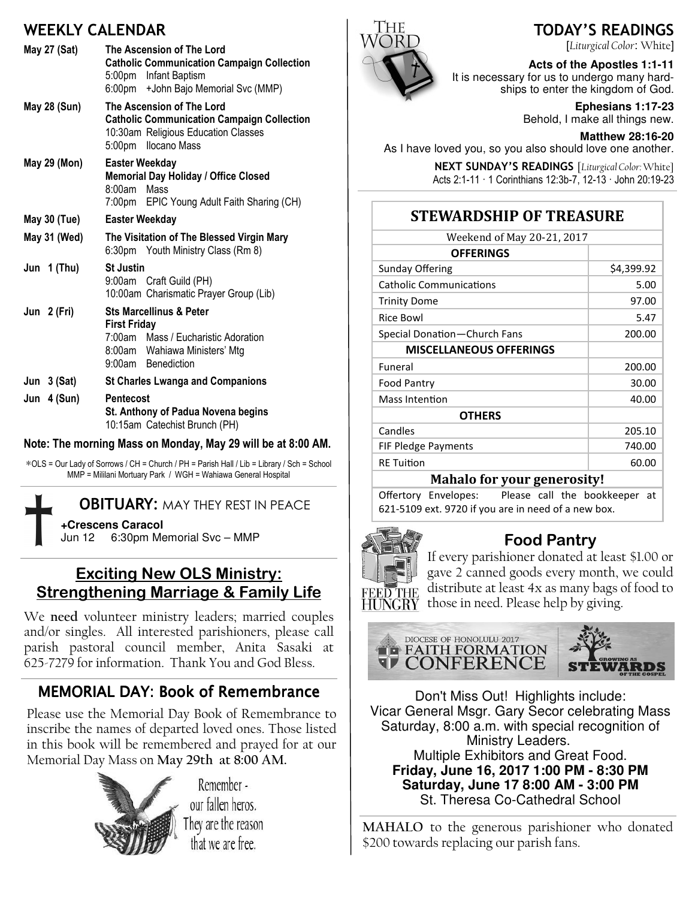## WEEKLY CALENDAR

| <b>May 27 (Sat)</b>                                        | The Ascension of The Lord<br><b>Catholic Communication Campaign Collection</b><br>5:00pm Infant Baptism<br>6:00pm + John Bajo Memorial Svc (MMP)        |  |
|------------------------------------------------------------|---------------------------------------------------------------------------------------------------------------------------------------------------------|--|
| May 28 (Sun)                                               | The Ascension of The Lord<br><b>Catholic Communication Campaign Collection</b><br>10:30am Religious Education Classes<br>5:00pm Ilocano Mass            |  |
| May 29 (Mon)                                               | <b>Easter Weekday</b><br>Memorial Day Holiday / Office Closed<br>8:00am<br>Mass<br>7:00pm EPIC Young Adult Faith Sharing (CH)                           |  |
| May 30 (Tue)                                               | <b>Easter Weekday</b>                                                                                                                                   |  |
| May 31 (Wed)                                               | The Visitation of The Blessed Virgin Mary<br>6:30pm Youth Ministry Class (Rm 8)                                                                         |  |
| Jun 1 (Thu)                                                | <b>St Justin</b><br>9:00am Craft Guild (PH)<br>10:00am Charismatic Prayer Group (Lib)                                                                   |  |
| Jun 2 (Fri)                                                | <b>Sts Marcellinus &amp; Peter</b><br><b>First Friday</b><br>7:00am Mass / Eucharistic Adoration<br>8:00am Wahiawa Ministers' Mtg<br>9:00am Benediction |  |
| Jun $3$ (Sat)                                              | <b>St Charles Lwanga and Companions</b>                                                                                                                 |  |
| Jun 4 (Sun)                                                | <b>Pentecost</b><br>St. Anthony of Padua Novena begins<br>10:15am Catechist Brunch (PH)                                                                 |  |
| Note: The morning Mass on Monday, May 20 will be at 8:00 A |                                                                                                                                                         |  |

Note: The morning Mass on Monday, May 29 will be at 8:00 AM.

∗OLS = Our Lady of Sorrows / CH = Church / PH = Parish Hall / Lib = Library / Sch = School MMP = Mililani Mortuary Park / WGH = Wahiawa General Hospital

### **OBITUARY: MAY THEY REST IN PEACE**

**+Crescens Caracol** Jun 12 6:30pm Memorial Svc – MMP

## Exciting New OLS Ministry: Strengthening Marriage & Family Life

We need volunteer ministry leaders; married couples and/or singles. All interested parishioners, please call parish pastoral council member, Anita Sasaki at 625-7279 for information. Thank You and God Bless.

## MEMORIAL DAY: Book of Remembrance

Please use the Memorial Day Book of Remembrance to inscribe the names of departed loved ones. Those listed in this book will be remembered and prayed for at our Memorial Day Mass on May 29th at 8:00 AM.



Remember our fallen heros. They are the reason that we are free.



TODAY'S READINGS

[Liturgical Color: White]

#### **Acts of the Apostles 1:1-11**

It is necessary for us to undergo many hardships to enter the kingdom of God.

> **Ephesians 1:17-23**  Behold, I make all things new.

**Matthew 28:16-20**  As I have loved you, so you also should love one another.

> NEXT SUNDAY'S READINGS [Liturgical Color: White] Acts 2:1-11 · 1 Corinthians 12:3b-7, 12-13 · John 20:19-23

## STEWARDSHIP OF TREASURE

| Weekend of May 20-21, 2017     |            |  |
|--------------------------------|------------|--|
| <b>OFFERINGS</b>               |            |  |
| Sunday Offering                | \$4,399.92 |  |
| <b>Catholic Communications</b> | 5.00       |  |
| <b>Trinity Dome</b>            | 97.00      |  |
| Rice Bowl                      | 5.47       |  |
| Special Donation-Church Fans   | 200.00     |  |
| <b>MISCELLANEOUS OFFERINGS</b> |            |  |
| Funeral                        | 200.00     |  |
| <b>Food Pantry</b>             | 30.00      |  |
| Mass Intention                 | 40.00      |  |
| <b>OTHERS</b>                  |            |  |
| Candles                        | 205.10     |  |
| FIF Pledge Payments            | 740.00     |  |
| <b>RE</b> Tuition              | 60.00      |  |
| 17 I I C                       |            |  |

#### Mahalo for your generosity!

Offertory Envelopes: Please call the bookkeeper at 621-5109 ext. 9720 if you are in need of a new box.



### Food Pantry

If every parishioner donated at least \$1.00 or gave 2 canned goods every month, we could distribute at least 4x as many bags of food to those in need. Please help by giving.



Don't Miss Out! Highlights include: Vicar General Msgr. Gary Secor celebrating Mass Saturday, 8:00 a.m. with special recognition of Ministry Leaders. Multiple Exhibitors and Great Food. **Friday, June 16, 2017 1:00 PM - 8:30 PM Saturday, June 17 8:00 AM - 3:00 PM**  St. Theresa Co-Cathedral School

MAHALO to the generous parishioner who donated \$200 towards replacing our parish fans.